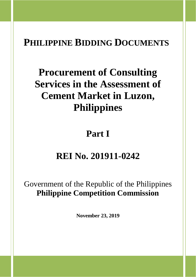# **PHILIPPINE BIDDING DOCUMENTS**

# **Procurement of Consulting Services in the Assessment of Cement Market in Luzon, Philippines**

# **Part I**

# **REI No. 201911-0242**

Government of the Republic of the Philippines **Philippine Competition Commission**

**November 23, 2019**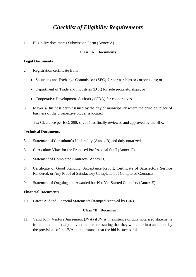# *Checklist of Eligibility Requirements*

1. Eligibility documents Submission Form (Annex A)

### **Class "A" Documents**

#### **Legal Documents**

- 2. Registration certificate from:
	- Securities and Exchange Commission (SEC) for partnerships or corporations; or
	- Department of Trade and Industries (DTI) for sole proprietorships; or
	- Cooperative Development Authority (CDA) for cooperatives.
- 3. Mayor's/Business permit issued by the city or municipality where the principal place of business of the prospective bidder is located
- 4. Tax Clearance per E.O. 398, s. 2005, as finally reviewed and approved by the BIR.

#### **Technical Documents**

- 5. Statement of Consultant's Nationality (Annex B) and duly notarized
- 6. Curriculum Vitae for the Proposed Professional Staff (Annex C)
- 7. Statement of Completed Contracts (Annex D)
- 8. Certificate of Good Standing, Acceptance Report, Certificate of Satisfactory Service Rendered, or Any Proof of Satisfactory Completion of Completed Contracts
- 9. Statement of Ongoing and Awarded but Not Yet Started Contracts (Annex E)

#### **Financial Documents**

10. Latest Audited Financial Statements (stamped received by BIR)

#### **Class "B" Document**

11. Valid Joint Venture Agreement (JVA) if JV is in existence or duly notarized statements from all the potential joint venture partners stating that they will enter into and abide by the provisions of the JVA in the instance that the bid is successful.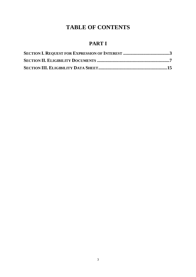# **TABLE OF CONTENTS**

# **PART I**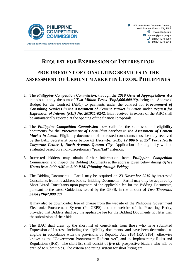

# **REQUEST FOR EXPRESSION OF INTEREST FOR**

# **PROCUREMENT OF CONSULTING SERVICES IN THE ASSESSMENT OF CEMENT MARKET IN LUZON, PHILIPPINES**

- 1. The *Philippine Competition Commission,* through the *2019 General Appropriations Act* intends to apply the sum of *Two Million Pesos (Php2,000,000.00),* being the Approved Budget for the Contract (ABC) to payments under the contract for *Procurement of Consulting Services in the Assessment of Cement Market in Luzon* under *Request for Expression of Interest (REI) No. 201911-0242*. Bids received in excess of the ABC shall be automatically rejected at the opening of the financial proposals.
- 2. The *Philippine Competition Commission* now calls for the submission of eligibility documents for the *Procurement of Consulting Services in the Assessment of Cement Market in Luzon*. Eligibility documents of interested consultants must be duly received by the BAC Secretariat on or before *02 December 2019, 12:00NN* at *25/F Vertis North Corporate Center 1, North Avenue, Quezon City. Applications for eligibility will be* evaluated based on a non-discretionary "pass/fail" criterion.
- 3. Interested bidders may obtain further information from *Philippine Competition Commission* and inspect the Bidding Documents at the address given below during *Office Hours from 9:00 A.M. to 5:00 P.M. (Monday through Friday).*
- 4. The Bidding Documents Part I may be acquired on *23 November 2019* by interested Consultants from the address below. Bidding Documents – Part II may only be acquired by Short Listed Consultants upon payment of the applicable fee for the Bidding Documents, pursuant to the latest Guidelines issued by the GPPB, in the amount of *Two Thousand pesos (Php2,000.00).*

It may also be downloaded free of charge from the website of the Philippine Government Electronic Procurement System (PhilGEPS) and the website of the Procuring Entity*,*  provided that Bidders shall pay the applicable fee for the Bidding Documents not later than the submission of their bids.

5. The BAC shall draw up the short list of consultants from those who have submitted Expression of Interest, including the eligibility documents, and have been determined as eligible in accordance with the provisions of Republic Act 9184 (RA 9184), otherwise known as the "Government Procurement Reform Act", and its Implementing Rules and Regulations (IRR). The short list shall consist of *five (5)* prospective bidders who will be entitled to submit bids. The criteria and rating system for short listing are: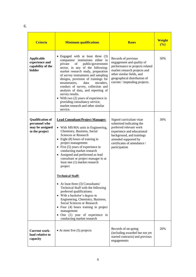| <b>Criteria</b>                                                               | <b>Minimum qualifications</b>                                                                                                                                                                                                                                                                                                                                                                                                                                                                                                                                                                                                                                                                                                                                                 | <b>Bases</b>                                                                                                                                                                                                        | <b>Weight</b><br>(%) |
|-------------------------------------------------------------------------------|-------------------------------------------------------------------------------------------------------------------------------------------------------------------------------------------------------------------------------------------------------------------------------------------------------------------------------------------------------------------------------------------------------------------------------------------------------------------------------------------------------------------------------------------------------------------------------------------------------------------------------------------------------------------------------------------------------------------------------------------------------------------------------|---------------------------------------------------------------------------------------------------------------------------------------------------------------------------------------------------------------------|----------------------|
| <b>Applicable</b><br>experience and<br>capability of the<br>bidder            | • Engaged with at least three (3)<br>companies/ institutions either in<br>public/government<br>private<br>οf<br>sector, in any of the following:<br>market research study, preparation<br>of survey instruments and sampling<br>designs, provision of trainings for<br>data<br>encoders,<br>enumerators.<br>conduct of survey, collection and<br>analysis of data, and reporting of<br>survey results.<br>• With two $(2)$ years of experience in<br>providing consultancy service,<br>market research and other similar<br>service.                                                                                                                                                                                                                                          | Records of previous<br>engagement and quality of<br>performance in projects related<br>market research projects and<br>other similar fields, and<br>geographical distribution of<br>current / impending projects.   | 50%                  |
| <b>Qualification of</b><br>personnel who<br>may be assigned<br>to the project | <b>Lead Consultant/Project Manager:</b><br>• With MS/MA units in Engineering,<br>Chemistry, Business, Social<br>Sciences or Research<br>• Eight $(8)$ hours of training in<br>project management<br>• Five $(5)$ years of experience in<br>conducting market research<br>• Assigned and performed as lead<br>consultant or project manager in at<br>least one (1) market research<br>project<br><b>Technical Staff:</b><br>• At least three $(3)$ Consultants/<br>Technical Staff with the following<br>preferred qualifications:<br>• With a bachelor's degree in<br>Engineering, Chemistry, Business,<br>Social Sciences or Research<br>$\bullet$ Four (4) hours training in project<br>management<br>$\bullet$ One (1) year of experience in<br>conducting market research | Signed curriculum vitae<br>submitted indicating the<br>preferred relevant work<br>experience and educational<br>background, and trainings<br>attended supported by<br>certificates of attendance /<br>participation | 30%                  |
| <b>Current work-</b><br>load relative to<br>capacity                          | $\bullet$ At most five (5) projects                                                                                                                                                                                                                                                                                                                                                                                                                                                                                                                                                                                                                                                                                                                                           | Records of on-going<br>(including awarded but not yet<br>started contracts) and previous<br>engagements                                                                                                             | 20%                  |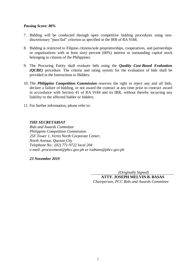#### *Passing Score: 80%*

- 7. Bidding will be conducted through open competitive bidding procedures using nondiscretionary "pass/fail" criterion as specified in the IRR of RA 9184.
- 8. Bidding is restricted to Filipino citizens/sole proprietorships, cooperatives, and partnerships or organizations with at least sixty percent (60%) interest or outstanding capital stock belonging to citizens of the Philippines.
- 9. The Procuring Entity shall evaluate bids using the *Quality Cost-Based Evaluation (QCBE)* procedure. The criteria and rating system for the evaluation of bids shall be provided in the Instructions to Bidders.
- 10. The *Philippine Competition Commission* reserves the right to reject any and all bids, declare a failure of bidding, or not award the contract at any time prior to contract award in accordance with Section 41 of RA 9184 and its IRR, without thereby incurring any liability to the affected bidder or bidders.
- 11. For further information, please refer to:

#### *THE SECRETARIAT*

*Bids and Awards Committee Philippine Competition Commission 25F Tower 1, Vertis North Corporate Center, North Avenue, Quezon City Telephone No.: (02) 771-9722 local 204 e-mail: procurement@phcc.gov.ph or ivabano@phcc.gov.ph*

#### *23 November 2019*

*(Originally Signed)*

**ATTY. JOSEPH MELVIN B. BASAS** *Chairperson, PCC Bids and Awards Committee*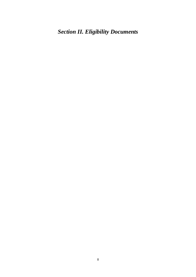<span id="page-7-0"></span>*Section II. Eligibility Documents*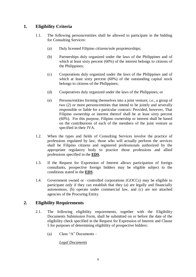# **1. Eligibility Criteria**

- 1.1. The following persons/entities shall be allowed to participate in the bidding for Consulting Services:
	- (a) Duly licensed Filipino citizens/sole proprietorships;
	- (b) Partnerships duly organized under the laws of the Philippines and of which at least sixty percent (60%) of the interest belongs to citizens of the Philippines;
	- (c) Corporations duly organized under the laws of the Philippines and of which at least sixty percent (60%) of the outstanding capital stock belongs to citizens of the Philippines;
	- (d) Cooperatives duly organized under the laws of the Philippines; or
	- (e) Persons/entities forming themselves into a joint venture, *i.e.*, a group of two (2) or more persons/entities that intend to be jointly and severally responsible or liable for a particular contract: Provided, however, That Filipino ownership or interest thereof shall be at least sixty percent (60%). For this purpose, Filipino ownership or interest shall be based on the contributions of each of the members of the joint venture as specified in their JVA.
- <span id="page-8-0"></span>1.2. When the types and fields of Consulting Services involve the practice of professions regulated by law, those who will actually perform the services shall be Filipino citizens and registered professionals authorized by the appropriate regulatory body to practice those professions and allied professions specified in the **[EDS](#page-15-0)**.
- <span id="page-8-1"></span>1.3. If the Request for Expression of Interest allows participation of foreign consultants, prospective foreign bidders may be eligible subject to the conditions stated in the **[EDS](#page-15-1)**.
- 1.4. Government owned or –controlled corporations (GOCCs) may be eligible to participate only if they can establish that they (a) are legally and financially autonomous, (b) operate under commercial law, and (c) are not attached agencies of the Procuring Entity.

# **2. Eligibility Requirements**

- 2.1. The following eligibility requirements, together with the Eligibility Documents Submission Form, shall be submitted on or before the date of the eligibility check specified in the Request for Expression of Interest and Clause 5 for purposes of determining eligibility of prospective bidders:
	- (a) Class "A" Documents –

*Legal Documents*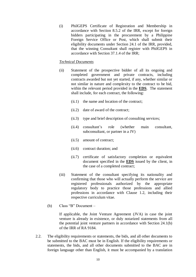(i) PhilGEPS Certificate of Registration and Membership in accordance with Section 8.5.2 of the IRR, except for foreign bidders participating in the procurement by a Philippine Foreign Service Office or Post, which shall submit their eligibility documents under Section 24.1 of the IRR, provided, that the winning Consultant shall register with PhilGEPS in accordance with Section 37.1.4 of the IRR;

#### *Technical Documents*

- (ii) Statement of the prospective bidder of all its ongoing and completed government and private contracts, including contracts awarded but not yet started, if any, whether similar or not similar in nature and complexity to the contract to be bid, within the relevant period provided in the **[EDS](#page-15-2)**. The statement shall include, for each contract, the following:
	- (ii.1) the name and location of the contract;
	- (ii.2) date of award of the contract;
	- (ii.3) type and brief description of consulting services;
	- (ii.4) consultant's role (whether main consultant, subconsultant, or partner in a JV)
	- (ii.5) amount of contract;
	- (ii.6) contract duration; and
	- (ii.7) certificate of satisfactory completion or equivalent document specified in the **[EDS](#page-15-3)** issued by the client, in the case of a completed contract;
- (iii) Statement of the consultant specifying its nationality and confirming that those who will actually perform the service are registered professionals authorized by the appropriate regulatory body to practice those professions and allied professions in accordance with Clause 1.2, including their respective curriculum vitae.
- (b) Class "B" Document –

If applicable, the Joint Venture Agreement (JVA) in case the joint venture is already in existence, or duly notarized statements from all the potential joint venture partners in accordance with Section 24.1(b) of the IRR of RA 9184.

2.2. The eligibility requirements or statements, the bids, and all other documents to be submitted to the BAC must be in English. If the eligibility requirements or statements, the bids, and all other documents submitted to the BAC are in foreign language other than English, it must be accompanied by a translation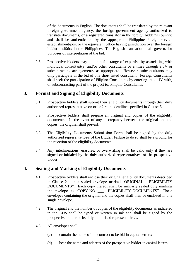<span id="page-10-0"></span>of the documents in English. The documents shall be translated by the relevant foreign government agency, the foreign government agency authorized to translate documents, or a registered translator in the foreign bidder's country; and shall be authenticated by the appropriate Philippine foreign service establishment/post or the equivalent office having jurisdiction over the foreign bidder's affairs in the Philippines. The English translation shall govern, for purposes of interpretation of the bid.

2.3. Prospective bidders may obtain a full range of expertise by associating with individual consultant(s) and/or other consultants or entities through a JV or subcontracting arrangements, as appropriate. However, subconsultants may only participate in the bid of one short listed consultant. Foreign Consultants shall seek the participation of Filipino Consultants by entering into a JV with, or subcontracting part of the project to, Filipino Consultants.

## **3. Format and Signing of Eligibility Documents**

- 3.1. Prospective bidders shall submit their eligibility documents through their duly authorized representative on or before the deadline specified in Clause 5.
- 3.2. Prospective bidders shall prepare an original and copies of the eligibility documents. In the event of any discrepancy between the original and the copies, the original shall prevail.
- 3.3. The Eligibility Documents Submission Form shall be signed by the duly authorized representative/s of the Bidder. Failure to do so shall be a ground for the rejection of the eligibility documents.
- 3.4. Any interlineations, erasures, or overwriting shall be valid only if they are signed or initialed by the duly authorized representative/s of the prospective bidder.

## **4. Sealing and Marking of Eligibility Documents**

- 4.1. Prospective bidders shall enclose their original eligibility documents described in Clause 2.1, in a sealed envelope marked "ORIGINAL – ELIGIBILITY DOCUMENTS". Each copy thereof shall be similarly sealed duly marking the envelopes as "COPY NO. \_\_\_ - ELIGIBILITY DOCUMENTS". These envelopes containing the original and the copies shall then be enclosed in one single envelope.
- 4.2. The original and the number of copies of the eligibility documents as indicated in the **[EDS](#page-15-4)** shall be typed or written in ink and shall be signed by the prospective bidder or its duly authorized representative/s.
- 4.3. All envelopes shall:
	- (c) contain the name of the contract to be bid in capital letters;
	- (d) bear the name and address of the prospective bidder in capital letters;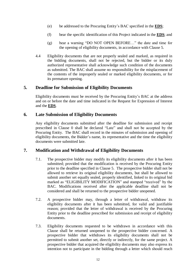- (e) be addressed to the Procuring Entity's BAC specified in the **[EDS](#page-16-0)**;
- <span id="page-11-1"></span>(f) bear the specific identification of this Project indicated in the **[EDS](#page-16-1)**; and
- (g) bear a warning "DO NOT OPEN BEFORE…" the date and time for the opening of eligibility documents, in accordance with Clause 5.
- 4.4 Eligibility documents that are not properly sealed and marked, as required in the bidding documents, shall not be rejected, but the bidder or its duly authorized representative shall acknowledge such condition of the documents as submitted. The BAC shall assume no responsibility for the misplacement of the contents of the improperly sealed or marked eligibility documents, or for its premature opening.

## <span id="page-11-0"></span>**5. Deadline for Submission of Eligibility Documents**

Eligibility documents must be received by the Procuring Entity's BAC at the address and on or before the date and time indicated in the Request for Expression of Interest and the **[EDS](#page-16-2)**.

## **6. Late Submission of Eligibility Documents**

Any eligibility documents submitted after the deadline for submission and receipt prescribed in Clause [0](#page-11-0) shall be declared "Late" and shall not be accepted by the Procuring Entity. The BAC shall record in the minutes of submission and opening of eligibility documents, the Bidder's name, its representative and the time the eligibility documents were submitted late.

## **7. Modification and Withdrawal of Eligibility Documents**

- 7.1. The prospective bidder may modify its eligibility documents after it has been submitted; provided that the modification is received by the Procuring Entity prior to the deadline specified in Clause 5. The prospective bidder shall not be allowed to retrieve its original eligibility documents, but shall be allowed to submit another set equally sealed, properly identified, linked to its original bid marked as "ELIGIBILITY MODIFICATION" and stamped "received" by the BAC. Modifications received after the applicable deadline shall not be considered and shall be returned to the prospective bidder unopened.
- 7.2. A prospective bidder may, through a letter of withdrawal, withdraw its eligibility documents after it has been submitted, for valid and justifiable reason; provided that the letter of withdrawal is received by the Procuring Entity prior to the deadline prescribed for submission and receipt of eligibility documents.
- 7.3. Eligibility documents requested to be withdrawn in accordance with this Clause shall be returned unopened to the prospective bidder concerned. A prospective bidder that withdraws its eligibility documents shall not be permitted to submit another set, directly or indirectly, for the same project. A prospective bidder that acquired the eligibility documents may also express its intention not to participate in the bidding through a letter which should reach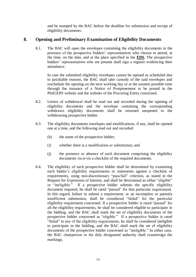and be stamped by the BAC before the deadline for submission and receipt of eligibility documents.

## **8. Opening and Preliminary Examination of Eligibility Documents**

8.1. The BAC will open the envelopes containing the eligibility documents in the presence of the prospective bidders' representatives who choose to attend, at the time, on the date, and at the place specified in the **EDS**. The prospective bidders' representatives who are present shall sign a register evidencing their attendance.

In case the submitted eligibility envelopes cannot be opened as scheduled due to justifiable reasons, the BAC shall take custody of the said envelopes and reschedule the opening on the next working day or at the soonest possible time through the issuance of a Notice of Postponement to be posted in the PhilGEPS website and the website of the Procuring Entity concerned.

- 8.2. Letters of withdrawal shall be read out and recorded during the opening of eligibility documents and the envelope containing the corresponding withdrawn eligibility documents shall be returned unopened to the withdrawing prospective bidder.
- 8.3. The eligibility documents envelopes and modifications, if any, shall be opened one at a time, and the following read out and recorded:
	- (h) the name of the prospective bidder;
	- (i) whether there is a modification or substitution; and
	- (j) the presence or absence of each document comprising the eligibility documents vis-à-vis a checklist of the required documents.
- 8.4. The eligibility of each prospective bidder shall be determined by examining each bidder's eligibility requirements or statements against a checklist of requirements, using non-discretionary "pass/fail" criterion, as stated in the Request for Expression of Interest, and shall be determined as either "eligible" or "ineligible." If a prospective bidder submits the specific eligibility document required, he shall be rated "passed" for that particular requirement. In this regard, failure to submit a requirement, or an incomplete or patently insufficient submission, shall be considered "failed" for the particular eligibility requirement concerned. If a prospective bidder is rated "passed" for all the eligibility requirements, he shall be considered eligible to participate in the bidding, and the BAC shall mark the set of eligibility documents of the prospective bidder concerned as "eligible." If a prospective bidder is rated "failed" in any of the eligibility requirements, he shall be considered ineligible to participate in the bidding, and the BAC shall mark the set of eligibility documents of the prospective bidder concerned as "ineligible." In either case, the BAC chairperson or his duly designated authority shall countersign the markings.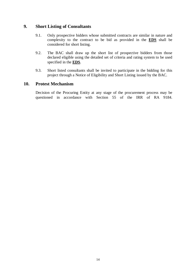## **9. Short Listing of Consultants**

- 9.1. Only prospective bidders whose submitted contracts are similar in nature and complexity to the contract to be bid as provided in the **[EDS](#page-16-3)** shall be considered for short listing.
- 9.2. The BAC shall draw up the short list of prospective bidders from those declared eligible using the detailed set of criteria and rating system to be used specified in the **[EDS](#page-16-4)**.
- 9.3. Short listed consultants shall be invited to participate in the bidding for this project through a Notice of Eligibility and Short Listing issued by the BAC.

## **10. Protest Mechanism**

Decision of the Procuring Entity at any stage of the procurement process may be questioned in accordance with Section 55 of the IRR of RA 9184.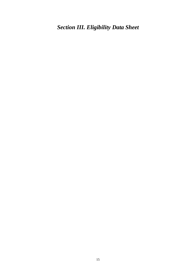<span id="page-14-0"></span>*Section III. Eligibility Data Sheet*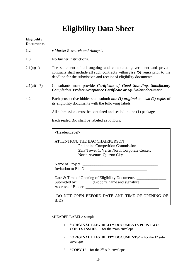# **Eligibility Data Sheet**

<span id="page-15-4"></span><span id="page-15-3"></span><span id="page-15-2"></span><span id="page-15-1"></span><span id="page-15-0"></span>

| <b>Eligibility</b><br><b>Documents</b> |                                                                                                                                                                                                                                                                                                                                                                                  |
|----------------------------------------|----------------------------------------------------------------------------------------------------------------------------------------------------------------------------------------------------------------------------------------------------------------------------------------------------------------------------------------------------------------------------------|
| 1.2                                    | • Market Research and Analysis                                                                                                                                                                                                                                                                                                                                                   |
| 1.3                                    | No further instructions.                                                                                                                                                                                                                                                                                                                                                         |
| 2.1(a)(ii)                             | The statement of all ongoing and completed government and private<br>contracts shall include all such contracts within <i>five</i> $(5)$ <i>years</i> prior to the<br>deadline for the submission and receipt of eligibility documents.                                                                                                                                          |
| 2.1(a)(ii.7)                           | Consultants must provide Certificate of Good Standing, Satisfactory<br>Completion, Project Acceptance Certificate or equivalent document.                                                                                                                                                                                                                                        |
| 4.2                                    | Each prospective bidder shall submit one $(1)$ original and two $(2)$ copies of<br>its eligibility documents with the following labels:                                                                                                                                                                                                                                          |
|                                        | All submissions must be contained and sealed in one (1) package.                                                                                                                                                                                                                                                                                                                 |
|                                        | Each sealed Bid shall be labeled as follows:                                                                                                                                                                                                                                                                                                                                     |
|                                        | <header label=""><br/>ATTENTION: THE BAC CHAIRPERSON<br/>Philippine Competition Commission<br/>25/F Tower 1, Vertis North Corporate Center,<br/>North Avenue, Quezon City<br/>Date &amp; Time of Opening of Eligibility Documents:<br/>Submitted by: (Bidder's name and signature)<br/>Address of Bidder:<br/>"DO NOT OPEN BEFORE DATE AND TIME OF OPENING OF<br/>BIDS"</header> |
|                                        | <header label=""> sample:<br/>"ORIGINAL ELIGIBILITY DOCUMENTS PLUS TWO<br/><math>1_{\cdot}</math></header>                                                                                                                                                                                                                                                                       |
|                                        | <b>COPIES INSIDE</b> $"$ – for the main envelope                                                                                                                                                                                                                                                                                                                                 |
|                                        | "ORIGINAL ELIGIBILITY DOCUMENTS" – for the 1 <sup>st</sup> sub-<br>2.<br>envelope                                                                                                                                                                                                                                                                                                |
|                                        | 3. "COPY $1"$ – for the $2nd$ sub-envelope                                                                                                                                                                                                                                                                                                                                       |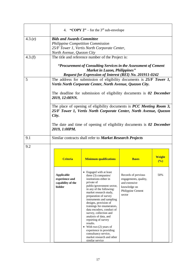<span id="page-16-4"></span><span id="page-16-3"></span><span id="page-16-2"></span><span id="page-16-1"></span><span id="page-16-0"></span>

|        | 4. "COPY $2"$ – for the 3 <sup>rd</sup> sub-envelope                                                                                                      |                                                                                                                                                                                                                                                                                                                                                                                                         |                                                                                                              |                      |  |  |  |  |  |
|--------|-----------------------------------------------------------------------------------------------------------------------------------------------------------|---------------------------------------------------------------------------------------------------------------------------------------------------------------------------------------------------------------------------------------------------------------------------------------------------------------------------------------------------------------------------------------------------------|--------------------------------------------------------------------------------------------------------------|----------------------|--|--|--|--|--|
| 4.3(e) | <b>Bids and Awards Committee</b><br>Philippine Competition Commission                                                                                     |                                                                                                                                                                                                                                                                                                                                                                                                         |                                                                                                              |                      |  |  |  |  |  |
|        | 25/F Tower 1, Vertis North Corporate Center,                                                                                                              |                                                                                                                                                                                                                                                                                                                                                                                                         |                                                                                                              |                      |  |  |  |  |  |
|        | North Avenue, Quezon City                                                                                                                                 |                                                                                                                                                                                                                                                                                                                                                                                                         |                                                                                                              |                      |  |  |  |  |  |
| 4.3(f) |                                                                                                                                                           | The title and reference number of the Project is:                                                                                                                                                                                                                                                                                                                                                       |                                                                                                              |                      |  |  |  |  |  |
|        |                                                                                                                                                           | "Procurement of Consulting Services in the Assessment of Cement<br><b>Market in Luzon, Philippines"</b><br>Request for Expression of Interest (REI) No. 201911-0242                                                                                                                                                                                                                                     |                                                                                                              |                      |  |  |  |  |  |
| 5      |                                                                                                                                                           | The address for submission of eligibility documents is $25/F$ Tower 1,<br>Vertis North Corporate Center, North Avenue, Quezon City.                                                                                                                                                                                                                                                                     |                                                                                                              |                      |  |  |  |  |  |
|        | 2019, 12:00NN.                                                                                                                                            | The deadline for submission of eligibility documents is $\theta$ 2 December                                                                                                                                                                                                                                                                                                                             |                                                                                                              |                      |  |  |  |  |  |
|        | The place of opening of eligibility documents is <b>PCC</b> Meeting Room 3,<br>25/F Tower 1, Vertis North Corporate Center, North Avenue, Quezon<br>City. |                                                                                                                                                                                                                                                                                                                                                                                                         |                                                                                                              |                      |  |  |  |  |  |
|        | 2019, 1:00PM.                                                                                                                                             | The date and time of opening of eligibility documents is $\theta$ 2 December                                                                                                                                                                                                                                                                                                                            |                                                                                                              |                      |  |  |  |  |  |
| 9.1    |                                                                                                                                                           | Similar contracts shall refer to Market Research Projects                                                                                                                                                                                                                                                                                                                                               |                                                                                                              |                      |  |  |  |  |  |
| 9.2    |                                                                                                                                                           |                                                                                                                                                                                                                                                                                                                                                                                                         |                                                                                                              |                      |  |  |  |  |  |
|        | <b>Criteria</b>                                                                                                                                           | <b>Minimum qualifications</b>                                                                                                                                                                                                                                                                                                                                                                           | <b>Bases</b>                                                                                                 | <b>Weight</b><br>(%) |  |  |  |  |  |
|        | <b>Applicable</b><br>experience and<br>capability of the<br>bidder                                                                                        | Engaged with at least<br>three (3) companies/<br>institutions either in<br>private of<br>public/government sector,<br>in any of the following:<br>market research study,<br>preparation of survey<br>instruments and sampling<br>designs, provision of<br>trainings for enumerators,<br>data encoders, conduct of<br>survey, collection and<br>analysis of data, and<br>reporting of survey<br>results. | Records of previous<br>engagements, quality,<br>and extensive<br>knowledge on<br>Philippine Cement<br>sector | 50%                  |  |  |  |  |  |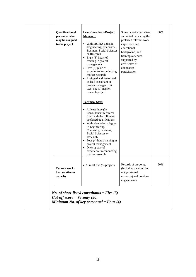| <b>Qualification of</b><br>personnel who<br>may be assigned<br>to the project | <b>Lead Consultant/Project</b><br><b>Manager:</b><br>• With MS/MA units in<br>Engineering, Chemistry,<br>Business, Social Sciences<br>or Research<br>• Eight $(8)$ hours of<br>training in project<br>management<br>• Five $(5)$ years of<br>experience in conducting<br>market research<br>• Assigned and performed<br>as lead consultant or<br>project manager in at<br>least one (1) market<br>research project | Signed curriculum vitae<br>submitted indicating the<br>preferred relevant work<br>experience and<br>educational<br>background, and<br>trainings attended<br>supported by<br>certificates of<br>attendance /<br>participation | 30% |
|-------------------------------------------------------------------------------|--------------------------------------------------------------------------------------------------------------------------------------------------------------------------------------------------------------------------------------------------------------------------------------------------------------------------------------------------------------------------------------------------------------------|------------------------------------------------------------------------------------------------------------------------------------------------------------------------------------------------------------------------------|-----|
|                                                                               | <b>Technical Staff:</b><br>• At least three $(3)$<br>Consultants/Technical<br>Staff with the following<br>preferred qualifications:<br>• With a bachelor's degree<br>in Engineering,<br>Chemistry, Business,<br>Social Sciences or<br>Research<br>• Four $(4)$ hours training in<br>project management<br>• One $(1)$ year of<br>experience in conducting<br>market research                                       |                                                                                                                                                                                                                              |     |
| <b>Current work-</b><br>load relative to<br>capacity                          | $\bullet$ At most five (5) projects                                                                                                                                                                                                                                                                                                                                                                                | Records of on-going<br>(including awarded but<br>not yet started<br>contracts) and previous<br>engagements                                                                                                                   | 20% |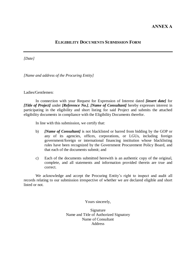### **ANNEX A**

#### **ELIGIBILITY DOCUMENTS SUBMISSION FORM**

*[Date]*

*[Name and address of the Procuring Entity]*

Ladies/Gentlemen:

In connection with your Request for Expression of Interest dated *[insert date]* for *[Title of Project]* under *[Reference No.]*, *[Name of Consultant]* hereby expresses interest in participating in the eligibility and short listing for said Project and submits the attached eligibility documents in compliance with the Eligibility Documents therefor.

In line with this submission, we certify that:

- b) *[Name of Consultant]* is not blacklisted or barred from bidding by the GOP or any of its agencies, offices, corporations, or LGUs, including foreign government/foreign or international financing institution whose blacklisting rules have been recognized by the Government Procurement Policy Board, and that each of the documents submit; and
- c) Each of the documents submitted herewith is an authentic copy of the original, complete, and all statements and information provided therein are true and correct.

We acknowledge and accept the Procuring Entity's right to inspect and audit all records relating to our submission irrespective of whether we are declared eligible and short listed or not.

Yours sincerely,

Signature Name and Title of Authorized Signatory Name of Consultant Address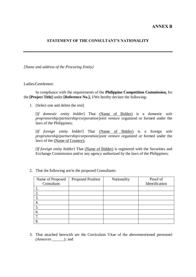#### **STATEMENT OF THE CONSULTANT'S NATIONALITY**

*[Name and address of the Procuring Entity]*

#### Ladies/Gentlemen:

In compliance with the requirements of the **Philippine Competition Commission,** for the **[Project Title]** under **[Reference No.],** I/We hereby declare the following:

1. [Select one and delete the rest]

[*If domestic entity bidder*] That (Name of Bidder) is a domestic *sole proprietorship/partnership/corporation/joint venture* organized or formed under the laws of the Philippines;

[*If foreign entity bidder*] That (Name of Bidder) is a foreign *sole proprietorship/partnership/corporation/joint venture* organized or formed under the laws of the (Name of Country);

[*If foreign entity bidder*] That (Name of Bidder) is registered with the Securities and Exchange Commission and/or any agency authorized by the laws of the Philippines;

| Name of Proposed | <b>Proposed Position</b> | Nationality | Proof of       |
|------------------|--------------------------|-------------|----------------|
| Consultant       |                          |             | Identification |
|                  |                          |             |                |
| 2.               |                          |             |                |
| 3.               |                          |             |                |
| 4.               |                          |             |                |
| 5.               |                          |             |                |
| 6.               |                          |             |                |
| $\tau$           |                          |             |                |
| 8                |                          |             |                |

2. That the following are/is the proposed Consultants:

3. That attached herewith are the Curriculum Vitae of the abovementioned personnel (*Annex/es \_\_\_\_\_\_);* and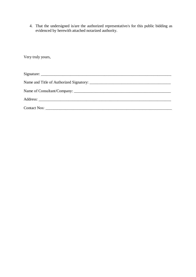4. That the undersigned is/are the authorized representative/s for this public bidding as evidenced by herewith attached notarized authority.

Very truly yours,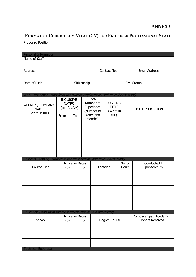# **ANNEX C**

# **FORMAT OF CURRICULUM VITAE (CV) FOR PROPOSED PROFESSIONAL STAFF**

| Proposed Position                                                          |      |                                  |             |                         |                    |        |                         |
|----------------------------------------------------------------------------|------|----------------------------------|-------------|-------------------------|--------------------|--------|-------------------------|
| <b>Personal Information</b>                                                |      |                                  |             |                         |                    |        |                         |
| Name of Staff                                                              |      |                                  |             |                         |                    |        |                         |
|                                                                            |      |                                  |             |                         |                    |        |                         |
| Address                                                                    |      |                                  |             |                         | Contact No.        |        | <b>Email Address</b>    |
| Date of Birth                                                              |      |                                  | Citizenship |                         |                    |        | Civil Status            |
|                                                                            |      |                                  |             |                         |                    |        |                         |
| Work Experience (start from the current employment, add rows if necessary) |      |                                  |             |                         |                    |        |                         |
|                                                                            |      | <b>INCLUSIVE</b><br><b>DATES</b> |             | Total<br>Number of      | <b>POSITION</b>    |        |                         |
| <b>AGENCY / COMPANY</b><br><b>NAME</b>                                     |      | (mm/dd/yy)                       |             | Experience              | <b>TITLE</b>       |        | <b>JOB DESCRIPTION</b>  |
| (Write in full)                                                            | From | To                               |             | (Number of<br>Years and | (Write in<br>full) |        |                         |
|                                                                            |      |                                  |             | Months)                 |                    |        |                         |
|                                                                            |      |                                  |             |                         |                    |        |                         |
|                                                                            |      |                                  |             |                         |                    |        |                         |
|                                                                            |      |                                  |             |                         |                    |        |                         |
|                                                                            |      |                                  |             |                         |                    |        |                         |
|                                                                            |      |                                  |             |                         |                    |        |                         |
| Relevant Training (start from the most recent, add rows if necessary)      |      | <b>Inclusive Dates</b>           |             |                         |                    | No. of | Conducted /             |
| Course Title                                                               | From |                                  | To          |                         | Location           | Hours  | Sponsored by            |
|                                                                            |      |                                  |             |                         |                    |        |                         |
|                                                                            |      |                                  |             |                         |                    |        |                         |
|                                                                            |      |                                  |             |                         |                    |        |                         |
|                                                                            |      |                                  |             |                         |                    |        |                         |
|                                                                            |      |                                  |             |                         |                    |        |                         |
|                                                                            |      |                                  |             |                         |                    |        |                         |
| Education (start from the most recent, add rows if necessary)              |      | <b>Inclusive Dates</b>           |             |                         |                    |        | Scholarships / Academic |
| School                                                                     | From |                                  | To          |                         | Degree Course      |        | <b>Honors Received</b>  |
|                                                                            |      |                                  |             |                         |                    |        |                         |
|                                                                            |      |                                  |             |                         |                    |        |                         |
|                                                                            |      |                                  |             |                         |                    |        |                         |
| <b>Technical Expertise</b>                                                 |      |                                  |             |                         |                    |        |                         |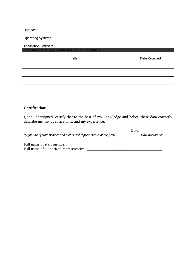| Database                    |                                                        |               |
|-----------------------------|--------------------------------------------------------|---------------|
| <b>Operating Systems</b>    |                                                        |               |
| <b>Application Software</b> |                                                        |               |
|                             | Professional Licenses, Certificates, Other Credentials |               |
|                             | Title                                                  | Date Received |
|                             |                                                        |               |
|                             |                                                        |               |
|                             |                                                        |               |
|                             |                                                        |               |
|                             |                                                        |               |

## **Certification:**

I, the undersigned, certify that to the best of my knowledge and belief, these data correctly describe me, my qualifications, and my experience.

|                                                                       | Date: |                |
|-----------------------------------------------------------------------|-------|----------------|
| [Signature of staff member and authorized representative of the firm] |       | Day/Month/Year |
| Full name of staff member:                                            |       |                |
| Full name of authorized representative:                               |       |                |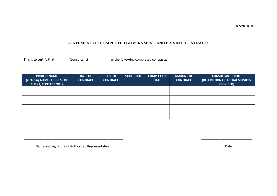#### **ANNEX D**

#### **STATEMENT OF COMPLETED GOVERNMENT AND PRIVATE CONTRACTS**

**This is to certify that \_\_\_\_\_\_\_\_(consultant)\_\_\_\_\_\_\_\_\_\_\_ has the following completed contracts:**

| <b>PROJECT NAME</b><br>(including NAME, ADDRESS OF<br><b>CLIENT, CONTACT NO.)</b> | <b>DATE OF</b><br><b>CONTRACT</b> | <b>TYPE OF</b><br><b>CONTRACT</b> | <b>START DATE</b> | <b>COMPLETION</b><br><b>DATE</b> | <b>AMOUNT OF</b><br><b>CONTRACT</b> | <b>CONSULTANT'S ROLE</b><br>(DESCRIPTION OF ACTUAL SERVICES<br><b>PROVIDED)</b> |
|-----------------------------------------------------------------------------------|-----------------------------------|-----------------------------------|-------------------|----------------------------------|-------------------------------------|---------------------------------------------------------------------------------|
|                                                                                   |                                   |                                   |                   |                                  |                                     |                                                                                 |
|                                                                                   |                                   |                                   |                   |                                  |                                     |                                                                                 |
|                                                                                   |                                   |                                   |                   |                                  |                                     |                                                                                 |
|                                                                                   |                                   |                                   |                   |                                  |                                     |                                                                                 |
|                                                                                   |                                   |                                   |                   |                                  |                                     |                                                                                 |
|                                                                                   |                                   |                                   |                   |                                  |                                     |                                                                                 |
|                                                                                   |                                   |                                   |                   |                                  |                                     |                                                                                 |

\_\_\_\_\_\_\_\_\_\_\_\_\_\_\_\_\_\_\_\_\_\_\_\_\_\_\_\_\_\_\_\_\_\_\_\_\_\_\_\_\_\_\_\_\_\_\_\_\_\_\_\_\_\_\_ \_\_\_\_\_\_\_\_\_\_\_\_\_\_\_\_\_\_\_\_\_\_\_\_\_\_\_\_

Name and Signature of Authorized Representative and Date by a state of the Date of Authorized Representative Date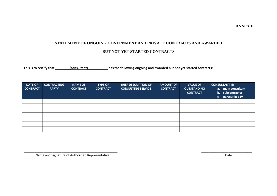**ANNEX E**

# **STATEMENT OF ONGOING GOVERNMENT AND PRIVATE CONTRACTS AND AWARDED**

### **BUT NOT YET STARTED CONTRACTS**

**This is to certify that \_\_\_\_\_\_\_\_(consultant)\_\_\_\_\_\_\_\_\_\_\_ has the following ongoing and awarded but not yet started contracts:**

| <b>DATE OF</b><br><b>CONTRACT</b> | <b>CONTRACTING</b><br><b>PARTY</b> | <b>NAME OF</b><br><b>CONTRACT</b> | <b>TYPE OF</b><br><b>CONTRACT</b> | <b>BRIEF DESCRIPTION OF</b><br><b>CONSULTING SERVICE</b> | <b>AMOUNT OF</b><br><b>CONTRACT</b> | <b>VALUE OF</b><br><b>OUTSTANDING</b><br><b>CONTRACT</b> | <b>CONSULTANT IS:</b><br>main consultant<br>a.<br>b. subcontractor<br>partner in a JV<br>C <sub>1</sub> |
|-----------------------------------|------------------------------------|-----------------------------------|-----------------------------------|----------------------------------------------------------|-------------------------------------|----------------------------------------------------------|---------------------------------------------------------------------------------------------------------|
|                                   |                                    |                                   |                                   |                                                          |                                     |                                                          |                                                                                                         |
|                                   |                                    |                                   |                                   |                                                          |                                     |                                                          |                                                                                                         |
|                                   |                                    |                                   |                                   |                                                          |                                     |                                                          |                                                                                                         |
|                                   |                                    |                                   |                                   |                                                          |                                     |                                                          |                                                                                                         |
|                                   |                                    |                                   |                                   |                                                          |                                     |                                                          |                                                                                                         |
|                                   |                                    |                                   |                                   |                                                          |                                     |                                                          |                                                                                                         |
|                                   |                                    |                                   |                                   |                                                          |                                     |                                                          |                                                                                                         |

\_\_\_\_\_\_\_\_\_\_\_\_\_\_\_\_\_\_\_\_\_\_\_\_\_\_\_\_\_\_\_\_\_\_\_\_\_\_\_\_\_\_\_\_\_\_\_\_\_\_\_\_ \_\_\_\_\_\_\_\_\_\_\_\_\_\_\_\_\_\_\_\_\_\_\_\_\_\_\_\_

Name and Signature of Authorized Representative Date Date Date